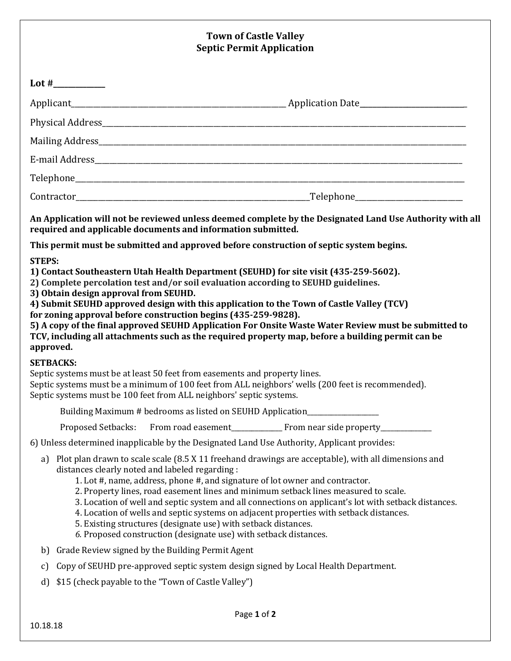## **Town of Castle Valley Septic Permit Application**

|               |                                                                                                                                                                                                                                                                                                                                                                                                                                                                                                                                                             | Sepuc Perinit Application                                                                                                                                                                                                                                                                                                                                                                    |
|---------------|-------------------------------------------------------------------------------------------------------------------------------------------------------------------------------------------------------------------------------------------------------------------------------------------------------------------------------------------------------------------------------------------------------------------------------------------------------------------------------------------------------------------------------------------------------------|----------------------------------------------------------------------------------------------------------------------------------------------------------------------------------------------------------------------------------------------------------------------------------------------------------------------------------------------------------------------------------------------|
|               |                                                                                                                                                                                                                                                                                                                                                                                                                                                                                                                                                             |                                                                                                                                                                                                                                                                                                                                                                                              |
|               |                                                                                                                                                                                                                                                                                                                                                                                                                                                                                                                                                             |                                                                                                                                                                                                                                                                                                                                                                                              |
|               |                                                                                                                                                                                                                                                                                                                                                                                                                                                                                                                                                             |                                                                                                                                                                                                                                                                                                                                                                                              |
|               |                                                                                                                                                                                                                                                                                                                                                                                                                                                                                                                                                             |                                                                                                                                                                                                                                                                                                                                                                                              |
|               |                                                                                                                                                                                                                                                                                                                                                                                                                                                                                                                                                             |                                                                                                                                                                                                                                                                                                                                                                                              |
|               |                                                                                                                                                                                                                                                                                                                                                                                                                                                                                                                                                             |                                                                                                                                                                                                                                                                                                                                                                                              |
|               |                                                                                                                                                                                                                                                                                                                                                                                                                                                                                                                                                             |                                                                                                                                                                                                                                                                                                                                                                                              |
|               | required and applicable documents and information submitted.                                                                                                                                                                                                                                                                                                                                                                                                                                                                                                | An Application will not be reviewed unless deemed complete by the Designated Land Use Authority with all                                                                                                                                                                                                                                                                                     |
| <b>STEPS:</b> | This permit must be submitted and approved before construction of septic system begins.                                                                                                                                                                                                                                                                                                                                                                                                                                                                     |                                                                                                                                                                                                                                                                                                                                                                                              |
| approved.     | 1) Contact Southeastern Utah Health Department (SEUHD) for site visit (435-259-5602).<br>2) Complete percolation test and/or soil evaluation according to SEUHD guidelines.<br>3) Obtain design approval from SEUHD.<br>4) Submit SEUHD approved design with this application to the Town of Castle Valley (TCV)<br>for zoning approval before construction begins (435-259-9828).<br><b>SETBACKS:</b><br>Septic systems must be at least 50 feet from easements and property lines.<br>Septic systems must be 100 feet from ALL neighbors' septic systems. | 5) A copy of the final approved SEUHD Application For Onsite Waste Water Review must be submitted to<br>TCV, including all attachments such as the required property map, before a building permit can be<br>Septic systems must be a minimum of 100 feet from ALL neighbors' wells (200 feet is recommended).                                                                               |
|               | Building Maximum # bedrooms as listed on SEUHD Application______________________                                                                                                                                                                                                                                                                                                                                                                                                                                                                            |                                                                                                                                                                                                                                                                                                                                                                                              |
|               | <b>Proposed Setbacks:</b>                                                                                                                                                                                                                                                                                                                                                                                                                                                                                                                                   |                                                                                                                                                                                                                                                                                                                                                                                              |
|               | 6) Unless determined inapplicable by the Designated Land Use Authority, Applicant provides:                                                                                                                                                                                                                                                                                                                                                                                                                                                                 |                                                                                                                                                                                                                                                                                                                                                                                              |
| a)            | distances clearly noted and labeled regarding:<br>1. Lot #, name, address, phone #, and signature of lot owner and contractor.<br>5. Existing structures (designate use) with setback distances.<br>6. Proposed construction (designate use) with setback distances.                                                                                                                                                                                                                                                                                        | Plot plan drawn to scale scale (8.5 X 11 freehand drawings are acceptable), with all dimensions and<br>2. Property lines, road easement lines and minimum setback lines measured to scale.<br>3. Location of well and septic system and all connections on applicant's lot with setback distances.<br>4. Location of wells and septic systems on adjacent properties with setback distances. |
| b)            | Grade Review signed by the Building Permit Agent                                                                                                                                                                                                                                                                                                                                                                                                                                                                                                            |                                                                                                                                                                                                                                                                                                                                                                                              |
| c)            | Copy of SEUHD pre-approved septic system design signed by Local Health Department.                                                                                                                                                                                                                                                                                                                                                                                                                                                                          |                                                                                                                                                                                                                                                                                                                                                                                              |
| d)            | \$15 (check payable to the "Town of Castle Valley")                                                                                                                                                                                                                                                                                                                                                                                                                                                                                                         |                                                                                                                                                                                                                                                                                                                                                                                              |
|               |                                                                                                                                                                                                                                                                                                                                                                                                                                                                                                                                                             | Page 1 of 2                                                                                                                                                                                                                                                                                                                                                                                  |